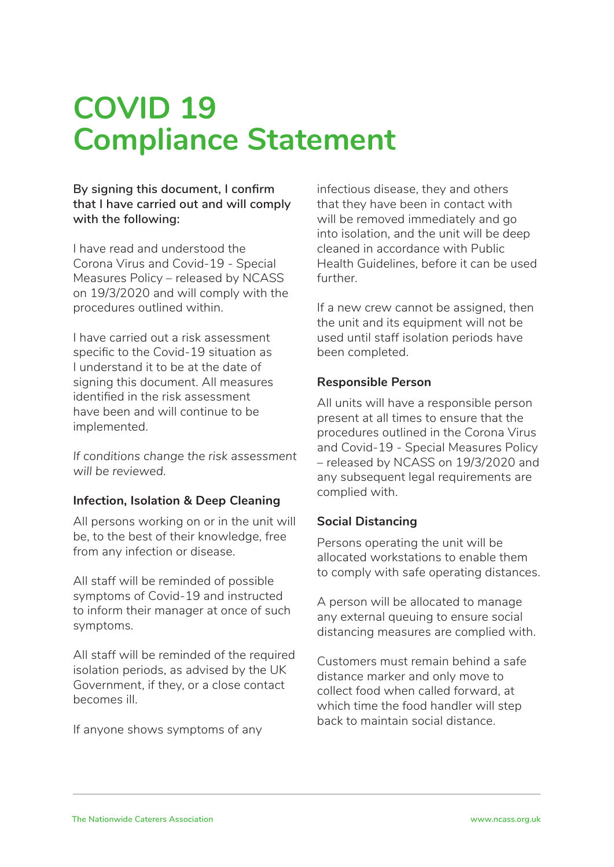# **COVID 19 Compliance Statement**

## **By signing this document, I confirm that I have carried out and will comply with the following:**

I have read and understood the Corona Virus and Covid-19 - Special Measures Policy – released by NCASS on 19/3/2020 and will comply with the procedures outlined within.

I have carried out a risk assessment specific to the Covid-19 situation as I understand it to be at the date of signing this document. All measures identified in the risk assessment have been and will continue to be implemented.

*If conditions change the risk assessment will be reviewed.*

#### **Infection, Isolation & Deep Cleaning**

All persons working on or in the unit will be, to the best of their knowledge, free from any infection or disease.

All staff will be reminded of possible symptoms of Covid-19 and instructed to inform their manager at once of such symptoms.

All staff will be reminded of the required isolation periods, as advised by the UK Government, if they, or a close contact becomes ill.

If anyone shows symptoms of any

infectious disease, they and others that they have been in contact with will be removed immediately and go into isolation, and the unit will be deep cleaned in accordance with Public Health Guidelines, before it can be used further.

If a new crew cannot be assigned, then the unit and its equipment will not be used until staff isolation periods have been completed.

# **Responsible Person**

All units will have a responsible person present at all times to ensure that the procedures outlined in the Corona Virus and Covid-19 - Special Measures Policy – released by NCASS on 19/3/2020 and any subsequent legal requirements are complied with.

# **Social Distancing**

Persons operating the unit will be allocated workstations to enable them to comply with safe operating distances.

A person will be allocated to manage any external queuing to ensure social distancing measures are complied with.

Customers must remain behind a safe distance marker and only move to collect food when called forward, at which time the food handler will step back to maintain social distance.